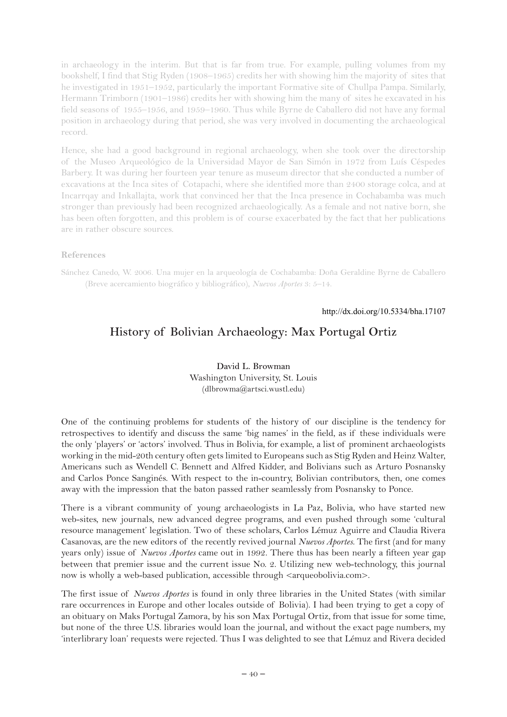in archaeology in the interim. But that is far from true. For example, pulling volumes from my bookshelf, I find that Stig Ryden (1908–1965) credits her with showing him the majority of sites that he investigated in 1951–1952, particularly the important Formative site of Chullpa Pampa. Similarly, Hermann Trimborn (1901–1986) credits her with showing him the many of sites he excavated in his field seasons of 1955–1956, and 1959–1960. Thus while Byrne de Caballero did not have any formal position in archaeology during that period, she was very involved in documenting the archaeological record.

Hence, she had a good background in regional archaeology, when she took over the directorship of the Museo Arqueológico de la Universidad Mayor de San Simón in 1972 from Luís Céspedes Barbery. It was during her fourteen year tenure as museum director that she conducted a number of excavations at the Inca sites of Cotapachi, where she identified more than 2400 storage colca, and at Incarrqay and Inkallajta, work that convinced her that the Inca presence in Cochabamba was much stronger than previously had been recognized archaeologically. As a female and not native born, she has been often forgotten, and this problem is of course exacerbated by the fact that her publications are in rather obscure sources.

## **References**

Sánchez Canedo, W. 2006. Una mujer en la arqueología de Cochabamba: Doña Geraldine Byrne de Caballero (Breve acercamiento biográfico y bibliográfico), *Nuevos Aportes* 3: 5–14.

http://dx.doi.org/10.5334/bha.17107

## **History of Bolivian Archaeology: Max Portugal Ortiz**

**David L. Browman** Washington University, St. Louis (dlbrowma@artsci.wustl.edu)

One of the continuing problems for students of the history of our discipline is the tendency for retrospectives to identify and discuss the same 'big names' in the field, as if these individuals were the only 'players' or 'actors' involved. Thus in Bolivia, for example, a list of prominent archaeologists working in the mid-20th century often gets limited to Europeans such as Stig Ryden and Heinz Walter, Americans such as Wendell C. Bennett and Alfred Kidder, and Bolivians such as Arturo Posnansky and Carlos Ponce Sanginés. With respect to the in-country, Bolivian contributors, then, one comes away with the impression that the baton passed rather seamlessly from Posnansky to Ponce.

There is a vibrant community of young archaeologists in La Paz, Bolivia, who have started new web-sites, new journals, new advanced degree programs, and even pushed through some 'cultural resource management' legislation. Two of these scholars, Carlos Lémuz Aguirre and Claudia Rivera Casanovas, are the new editors of the recently revived journal *Nuevos Aportes*. The first (and for many years only) issue of *Nuevos Aportes* came out in 1992. There thus has been nearly a fifteen year gap between that premier issue and the current issue No. 2. Utilizing new web-technology, this journal now is wholly a web-based publication, accessible through  $\langle$  arqueobolivia.com $\rangle$ .

The first issue of *Nuevos Aportes* is found in only three libraries in the United States (with similar rare occurrences in Europe and other locales outside of Bolivia). I had been trying to get a copy of an obituary on Maks Portugal Zamora, by his son Max Portugal Ortiz, from that issue for some time, but none of the three U.S. libraries would loan the journal, and without the exact page numbers, my 'interlibrary loan' requests were rejected. Thus I was delighted to see that Lémuz and Rivera decided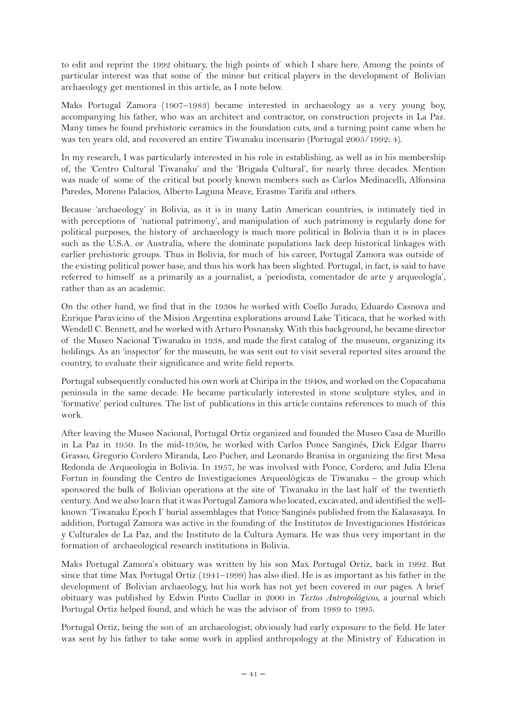to edit and reprint the 1992 obituary, the high points of which I share here. Among the points of particular interest was that some of the minor but critical players in the development of Bolivian archaeology get mentioned in this article, as I note below.

Maks Portugal Zamora (1907–1983) became interested in archaeology as a very young boy, accompanying his father, who was an architect and contractor, on construction projects in La Paz. Many times he found prehistoric ceramics in the foundation cuts, and a turning point came when he was ten years old, and recovered an entire Tiwanaku incensario (Portugal 2005/1992: 4).

In my research, I was particularly interested in his role in establishing, as well as in his membership of, the 'Centro Cultural Tiwanaku' and the 'Brigada Cultural', for nearly three decades. Mention was made of some of the critical but poorly known members such as Carlos Medinacelli, Alfonsina Paredes, Moreno Palacios, Alberto Laguna Meave, Erasmo Tarifa and others.

Because 'archaeology' in Bolivia, as it is in many Latin American countries, is intimately tied in with perceptions of 'national patrimony', and manipulation of such patrimony is regularly done for political purposes, the history of archaeology is much more political in Bolivia than it is in places such as the U.S.A. or Australia, where the dominate populations lack deep historical linkages with earlier prehistoric groups. Thus in Bolivia, for much of his career, Portugal Zamora was outside of the existing political power base, and thus his work has been slighted. Portugal, in fact, is said to have referred to himself as a primarily as a journalist, a 'periodista, comentador de arte y arqueología', rather than as an academic.

On the other hand, we find that in the 1930s he worked with Coello Jurado, Eduardo Casnova and Enrique Paravicino of the Mision Argentina explorations around Lake Titicaca, that he worked with Wendell C. Bennett, and he worked with Arturo Posnansky. With this background, he became director of the Museo Nacional Tiwanaku in 1938, and made the first catalog of the museum, organizing its holdings. As an 'inspector' for the museum, he was sent out to visit several reported sites around the country, to evaluate their significance and write field reports.

Portugal subsequently conducted his own work at Chiripa in the 1940s, and worked on the Copacabana peninsula in the same decade. He became particularly interested in stone sculpture styles, and in 'formative' period cultures. The list of publications in this article contains references to much of this work.

After leaving the Museo Nacional, Portugal Ortiz organized and founded the Museo Casa de Murillo in La Paz in 1950. In the mid-1950s, he worked with Carlos Ponce Sanginés, Dick Edgar Ibarro Grasso, Gregorio Cordero Miranda, Leo Pucher, and Leonardo Branisa in organizing the first Mesa Redonda de Arqueologia in Bolivia. In 1957, he was involved with Ponce, Cordero, and Julia Elena Fortun in founding the Centro de Investigaciones Arqueológicas de Tiwanaku – the group which sponsored the bulk of Bolivian operations at the site of Tiwanaku in the last half of the twentieth century. And we also learn that it was Portugal Zamora who located, excavated, and identified the wellknown 'Tiwanaku Epoch I' burial assemblages that Ponce Sanginés published from the Kalasasaya. In addition, Portugal Zamora was active in the founding of the Institutos de Investigaciones Históricas y Culturales de La Paz, and the Instituto de la Cultura Aymara. He was thus very important in the formation of archaeological research institutions in Bolivia.

Maks Portugal Zamora's obituary was written by his son Max Portugal Ortiz, back in 1992. But since that time Max Portugal Ortiz (1941–1999) has also died. He is as important as his father in the development of Bolivian archaeology, but his work has not yet been covered in our pages. A brief obituary was published by Edwin Pinto Cuellar in 2000 in *Textos Antropológicos*, a journal which Portugal Ortiz helped found, and which he was the advisor of from 1989 to 1995.

Portugal Ortiz, being the son of an archaeologist, obviously had early exposure to the field. He later was sent by his father to take some work in applied anthropology at the Ministry of Education in